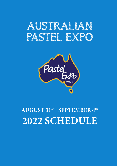# AUSTRALIAN PASTEL EXPO



**AUGUST 31st - SEPTEMBER 4th 2022 SCHEDULE**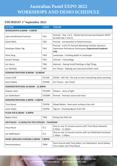#### **THURSDAY 1st September 2022**

| <b>TUTOR</b>                                        | <b>CODE</b>     | <b>THEME</b>                                                                                                                 |  |  |
|-----------------------------------------------------|-----------------|------------------------------------------------------------------------------------------------------------------------------|--|--|
| <b>WORKSHOPS 8.30AM - 4.30PM</b>                    |                 |                                                                                                                              |  |  |
| Julie and Michael Freeman                           | TW1             | Animals - Day 1 of 2 - Mastering Animals (participants MUST<br>do both day 1 and 2)                                          |  |  |
| David Wells                                         | TW <sub>2</sub> | Portrait - Introduction to Pastel Portraits                                                                                  |  |  |
| Penelope Gilbert Ng                                 | TW <sub>3</sub> | Portrait - A.D.E.P.T Portrait Workshop (Artistic-Dynamic-<br>Expressive-Portraiture-Techniques) Experienced students<br>only |  |  |
| Anne Yang                                           | TW4             | Landscape - Creating depth in Landscape                                                                                      |  |  |
| Sandra Temple                                       | TW <sub>5</sub> | Animals - Camouflage                                                                                                         |  |  |
| Lyn Henry                                           | TW <sub>6</sub> | Abstract - Seeing Small Paintings in Big Things                                                                              |  |  |
| Lyn Mellady                                         | TW7             | Art Theory - Making your personal artistic mark                                                                              |  |  |
| <b>DEMONSTRATIONS 8.00AM - 10.00AM</b>              |                 |                                                                                                                              |  |  |
| Leonie Duff                                         | TD1AM           | ZOOM - Still Life; The way to learn everything about painting                                                                |  |  |
| Karol Oakley                                        | TD2AM           | Art Theory - Get Toned                                                                                                       |  |  |
| DEMONSTRATIONS 10.30AM - 12.30PM                    |                 |                                                                                                                              |  |  |
| <b>Stephie Clark</b>                                | TD1MM           | Flowers - story of light                                                                                                     |  |  |
| Lyn Diefenbach                                      | TD2MM           | Portrait - Portraits loose and lively                                                                                        |  |  |
| <b>DEMONSTRATIONS 2.00PM - 4.00PM</b>               |                 |                                                                                                                              |  |  |
| <b>Tricia Reust</b>                                 | TD1PM           | Mixed Media - New work surfaces from old                                                                                     |  |  |
| Janet Hayes                                         | TD2PM           | Figures - Drawing figures from life                                                                                          |  |  |
| PLEIN AIR 8.30AM - 4.30PM                           |                 |                                                                                                                              |  |  |
| Regina Hona                                         | TW <sub>8</sub> | Diving into Plein Air                                                                                                        |  |  |
| <b>CRITIQUES - 15 MINUTES PER PERSON - THURSDAY</b> |                 |                                                                                                                              |  |  |
| Tricia Reust                                        | TC <sub>1</sub> | One on one 15 minute session with Tricia Reust between<br>9.30am - 11.30am                                                   |  |  |
| Lyn Diefenbach                                      | TC <sub>2</sub> | One on one 15 minute session with Lyn Diefenbach between<br>1.30pm - 3.30pm                                                  |  |  |
| <b>PAINT AROUND EVENING 5.00PM - 7.00PM</b>         |                 |                                                                                                                              |  |  |
| Demonstrations                                      | <b>TDPA</b>     | Paint Around with Tony Allain, Lyn Diefenbach, Karol Oakley,<br>Tricia Taylor and Tricia Reust.                              |  |  |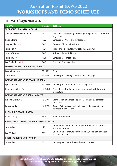#### **FRIDAY 2nd September 2022**

| <b>TUTOR</b>                                      | <b>CODE</b>        | <b>THEME</b>                                                                          |  |  |
|---------------------------------------------------|--------------------|---------------------------------------------------------------------------------------|--|--|
| WORKSHOPS 8.30AM - 4.30PM                         |                    |                                                                                       |  |  |
| Julie and Michael Freeman                         | FW1                | Day 2 of 2 - Mastering Animals (participants MUST do both<br>day $1$ and $2)$         |  |  |
| Regina Hona                                       | FW <sub>2</sub>    | Landscape - Water and Reflections                                                     |  |  |
| <b>Stephie Clark FULL</b>                         | FW <sub>3</sub>    | Flowers - Bloom with Grace                                                            |  |  |
| <b>Tricia Reust</b>                               | FW4                | Mixed Media - Pastel over collage on canvas                                           |  |  |
| Sandra Temple                                     | FW <sub>5</sub>    | <b>Animals - Beautiful Birds</b>                                                      |  |  |
| Tricia Taylor                                     | FW <sub>6</sub>    | Landscape - Sunset Skies                                                              |  |  |
| Lyn Diefenbach FULL                               | FW7                | Portrait - Portraits alive                                                            |  |  |
| <b>DEMONSTRATIONS 8.00AM - 10.00AM</b>            |                    |                                                                                       |  |  |
| Dawn Emerson                                      | FD1AM              | Zoom                                                                                  |  |  |
| Anne Yang                                         | FD <sub>2</sub> AM | Landscape - Creating Depth in the Landscape                                           |  |  |
| <b>DEMONSTRATIONS 10.30AM - 12.30PM</b>           |                    |                                                                                       |  |  |
| Lyn Mellady                                       | FD1MM              | Landscape - Submerged rocks at high tide                                              |  |  |
| Penelope Gilbert Ng                               | FD2MM              | Portrait - Let the Colour Sing - Vibrant colourful portrait -<br>loose style          |  |  |
| <b>DEMONSTRATIONS 2.00PM - 4.00PM</b>             |                    |                                                                                       |  |  |
| Lynette Orzlowski                                 | FD1PM              | Demonstrating Canson Papers - 1 image on 3 different<br>substrates                    |  |  |
| Louise Corke                                      | FD2PM              | Zoom - Art Theory; The Final Tweaks - Edges and Final<br><b>Balances in any Genre</b> |  |  |
| PLEIN AIR 8.30AM - 4.30PM                         |                    |                                                                                       |  |  |
| Karol Oakley                                      | FW8                | Plein Air Confidence                                                                  |  |  |
| <b>CRITIQUES - 15 MINUTES PER PERSON - FRIDAY</b> |                    |                                                                                       |  |  |
| <b>Tony Allain</b>                                | FC1                | One on one 15 minute session with Tony Allain between<br>9.30am - 11.30am             |  |  |
| Lyn Mellady                                       | FC <sub>2</sub>    | One on one 15 minute session with Lyn Mellady between<br>1.30pm - 3.30pm              |  |  |
| <b>EVENING DEMO 5.00 - 7.00PM</b>                 |                    |                                                                                       |  |  |
| <b>Tony Allain</b>                                | <b>FDMD</b>        | Landscape - Where the Land Meets the Sea                                              |  |  |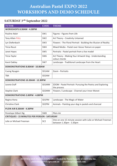#### **SATURDAY 3rdh September 2022**

| <b>TUTOR</b>                                        | <b>CODE</b>        | <b>THEME</b>                                                                          |  |  |
|-----------------------------------------------------|--------------------|---------------------------------------------------------------------------------------|--|--|
| <b>WORKSHOPS 8.30AM - 4.30PM</b>                    |                    |                                                                                       |  |  |
| Pauline Adair                                       | SW1                | Figures - Figures from Life                                                           |  |  |
| Tony Allain FULL                                    | SW <sub>2</sub>    | Art Theory - Creativity Untamed                                                       |  |  |
| Lyn Diefenbach                                      | SW <sub>3</sub>    | Flowers - The Floral Portrait - Building the Illusion of Reality                      |  |  |
| <b>Tricia Reust</b>                                 | SW4                | Mixed Media - Pastel over Gesso Texture on paper                                      |  |  |
| Janet Hayes                                         | SW <sub>5</sub>    | Portraits - Pastel portrait from a live model                                         |  |  |
| Tricia Taylor                                       | SW <sub>6</sub>    | Art Theory - Making Your Artwork Sing - Understanding<br>colour chords                |  |  |
| Karol Oakley                                        | SW7                | Landscape - Traditional Landscape from the Heart                                      |  |  |
| <b>DEMONSTRATIONS 8.00AM - 10.00AM</b>              |                    |                                                                                       |  |  |
| <b>Cuong Nyugen</b>                                 | SD1AM              | Zoom - Portraits                                                                      |  |  |
| TBA                                                 | SD <sub>2</sub> AM |                                                                                       |  |  |
| <b>DEMONSTRATIONS 10.30AM - 12.30PM</b>             |                    |                                                                                       |  |  |
| Leonie Duff                                         | SD1MM              | ZOOM - Pastel Portrait- Pursuing the Poetry and Exploring<br>the process              |  |  |
| <b>Stephie Clark</b>                                | SD <sub>2</sub> MM | Flowers / Landscape - Channel your Inner Monet                                        |  |  |
| <b>DEMONSTRATIONS 2.00PM - 4.00PM</b>               |                    |                                                                                       |  |  |
| Regina Hona                                         | SD1PM              | Landscape - The Magic of Water                                                        |  |  |
| <b>Christine Clark</b>                              | SD <sub>2</sub> PM | Animals - Painting your dog in pastels and charcoal                                   |  |  |
| PLEIN AIR 8.30AM - 4.30PM                           |                    |                                                                                       |  |  |
| Penelope Gilbert Ng                                 | SW <sub>8</sub>    | Plein Air                                                                             |  |  |
| <b>CRITIQUES - 15 MINUTES PER PERSON - SATURDAY</b> |                    |                                                                                       |  |  |
| Julie or Michael Freeman                            | SC <sub>2</sub>    | One on one 15 minute session with Julie or Michael Freeman<br>between 1.30pm - 3.30pm |  |  |